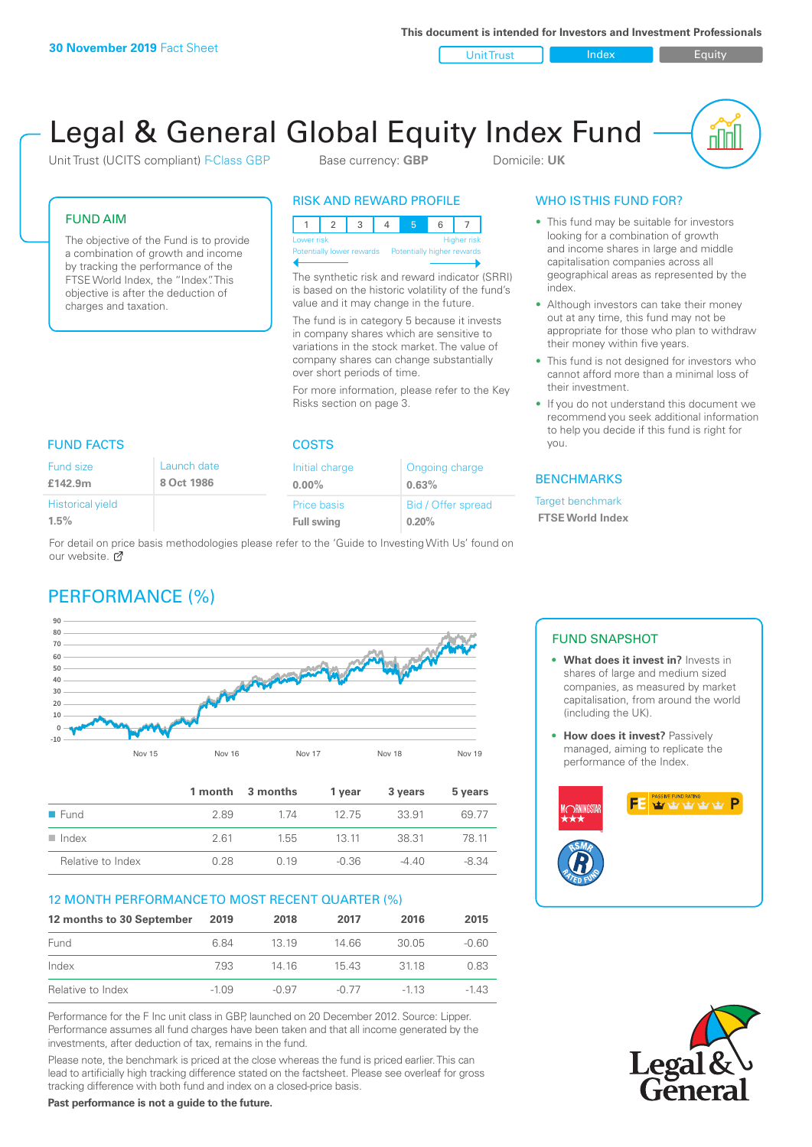**This document is intended for Investors and Investment Professionals**

Unit Trust Index I Equity

u ju

# Legal & General Global Equity Index Fund

Unit Trust (UCITS compliant) F-Class GBP Base currency: **GBP** Domicile: UK

FUND AIM

The objective of the Fund is to provide a combination of growth and income by tracking the performance of the FTSE World Index, the "Index". This objective is after the deduction of charges and taxation.

# RISK AND REWARD PROFILE



The synthetic risk and reward indicator (SRRI) is based on the historic volatility of the fund's value and it may change in the future.

The fund is in category 5 because it invests in company shares which are sensitive to variations in the stock market. The value of company shares can change substantially over short periods of time.

For more information, please refer to the Key Risks section on page 3.

| <b>FUND FACTS</b>       |             | <b>COSTS</b>      |                    |  |
|-------------------------|-------------|-------------------|--------------------|--|
| Fund size               | Launch date | Initial charge    | Ongoing charge     |  |
| £142.9m                 | 8 Oct 1986  | $0.00\%$          | 0.63%              |  |
| <b>Historical yield</b> |             | Price basis       | Bid / Offer spread |  |
| 1.5%                    |             | <b>Full swing</b> | 0.20%              |  |

For detail on price basis methodologies please refer to the 'Guide to Investing With Us' found on our website. C

# PERFORMANCE (%)



|                      |      | 1 month 3 months | 1 vear  | 3 years | 5 years |
|----------------------|------|------------------|---------|---------|---------|
| $\blacksquare$ Fund  | 2.89 | 1 74             | 12.75   | 33.91   | 69.77   |
| $\blacksquare$ Index | 261  | 1.55             | 13 11   | 38.31   | 78 11   |
| Relative to Index    | 0.28 | 0.19             | $-0.36$ | $-4.40$ | -8.34   |

# 12 MONTH PERFORMANCE TO MOST RECENT QUARTER (%)

| 12 months to 30 September | 2019    | 2018    | 2017    | 2016   | 2015    |
|---------------------------|---------|---------|---------|--------|---------|
| Fund                      | 6.84    | 13 19   | 14 66   | 30.05  | $-0.60$ |
| Index                     | 7.93    | 14 16   | 1543    | 3118   | 0.83    |
| Relative to Index         | $-1.09$ | $-0.97$ | $-0.77$ | $-113$ | -1 43   |

Performance for the F Inc unit class in GBP, launched on 20 December 2012. Source: Lipper. Performance assumes all fund charges have been taken and that all income generated by the investments, after deduction of tax, remains in the fund.

Please note, the benchmark is priced at the close whereas the fund is priced earlier. This can lead to artificially high tracking difference stated on the factsheet. Please see overleaf for gross tracking difference with both fund and index on a closed-price basis.

### **Past performance is not a guide to the future.**

# WHO IS THIS FUND FOR?

- This fund may be suitable for investors looking for a combination of growth and income shares in large and middle capitalisation companies across all geographical areas as represented by the index.
- Although investors can take their money out at any time, this fund may not be appropriate for those who plan to withdraw their money within five years.
- This fund is not designed for investors who cannot afford more than a minimal loss of their investment.
- If you do not understand this document we recommend you seek additional information to help you decide if this fund is right for you.

# BENCHMARKS

Target benchmark  **FTSE World Index**

# FUND SNAPSHOT

- **• What does it invest in?** Invests in shares of large and medium sized companies, as measured by market capitalisation, from around the world (including the UK).
- **• How does it invest?** Passively managed, aiming to replicate the performance of the Index.



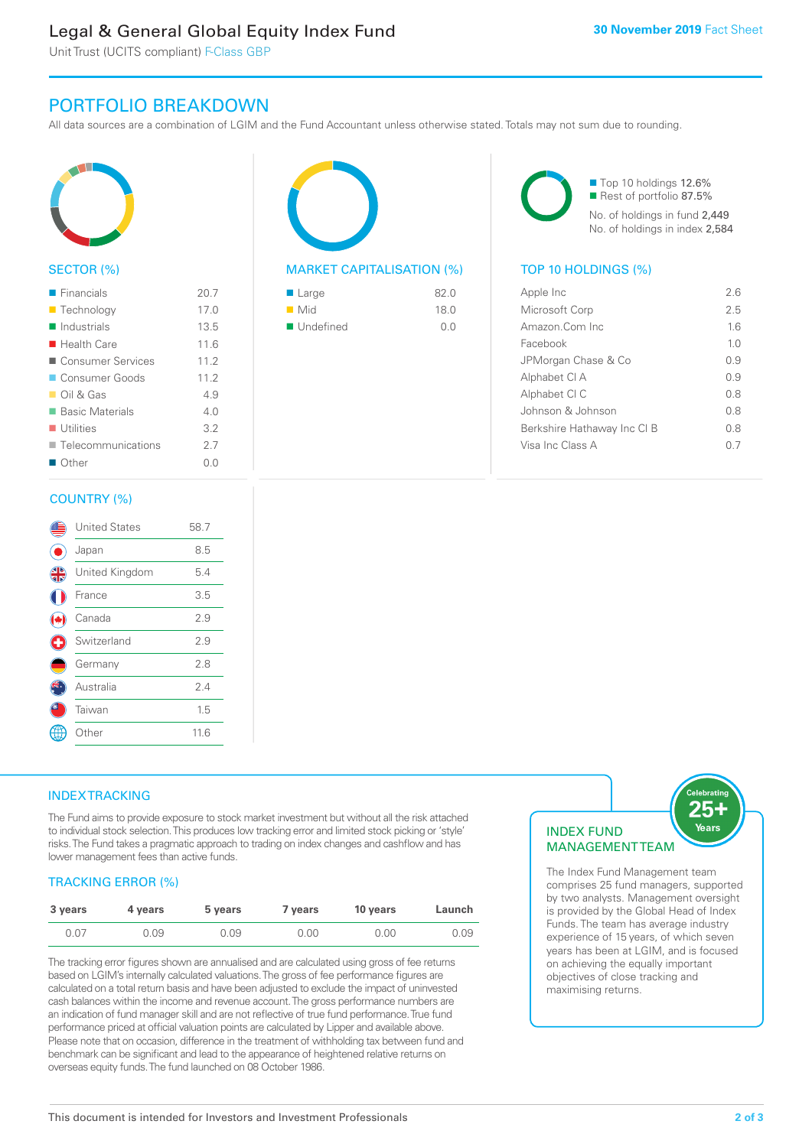# Legal & General Global Equity Index Fund

Unit Trust (UCITS compliant) F-Class GBP

# PORTFOLIO BREAKDOWN

All data sources are a combination of LGIM and the Fund Accountant unless otherwise stated. Totals may not sum due to rounding.



# SECTOR (%)

| $\blacksquare$ Financials  | 20.7   |
|----------------------------|--------|
| <b>Technology</b>          | 17.0   |
| Industrials                | 13.5   |
| $\blacksquare$ Health Care | 116    |
| ■ Consumer Services        | 11.2   |
| Consumer Goods             | 11.2   |
| $\Box$ Oil & Gas           | 4.9    |
| ■ Basic Materials          | 4 N    |
| $\blacksquare$ Utilities   | 3.2    |
| ■ Telecommunications       | 27     |
| $\blacksquare$ Other       | (1, 0) |
|                            |        |

### COUNTRY (%)

|   | <b>United States</b> | 58.7 |  |
|---|----------------------|------|--|
|   | Japan                | 8.5  |  |
| 4 | United Kingdom       | 5.4  |  |
|   | France               | 3.5  |  |
|   | Canada               | 2.9  |  |
| ¢ | Switzerland          | 2.9  |  |
|   | Germany              | 2.8  |  |
|   | Australia            | 2.4  |  |
|   | Taiwan               | 1.5  |  |
|   | Other                | 11.6 |  |
|   |                      |      |  |



# MARKET CAPITALISATION (%) TOP 10 HOLDINGS (%)

| $\blacksquare$ Large     | 82.0 |
|--------------------------|------|
| $\blacksquare$ Mid       | 18.0 |
| $\blacksquare$ Undefined | O O  |

■ Top 10 holdings 12.6% Rest of portfolio 87.5% No. of holdings in fund 2,449 No. of holdings in index 2,584

| Apple Inc                   | 26   |
|-----------------------------|------|
| Microsoft Corp              | 25   |
| Amazon.Com Inc.             | 16   |
| Facebook                    | 10   |
| JPMorgan Chase & Co         | O 9  |
| Alphabet CI A               | O 9  |
| Alphabet CI C               | 0 S  |
| Johnson & Johnson           | 0.8  |
| Berkshire Hathaway Inc CI B | 0 S  |
| Visa Inc Class A            | () / |
|                             |      |

# **INDEX TRACKING**

The Fund aims to provide exposure to stock market investment but without all the risk attached to individual stock selection. This produces low tracking error and limited stock picking or 'style' risks. The Fund takes a pragmatic approach to trading on index changes and cashflow and has lower management fees than active funds.

# TRACKING ERROR (%)

| 3 years | 4 years | 5 years | 7 years | 10 years | Launch |
|---------|---------|---------|---------|----------|--------|
| 0.07    | 0.09    | 0.09    | 0.00    | 0.00     | 0.09   |

The tracking error figures shown are annualised and are calculated using gross of fee returns based on LGIM's internally calculated valuations. The gross of fee performance figures are calculated on a total return basis and have been adjusted to exclude the impact of uninvested cash balances within the income and revenue account. The gross performance numbers are an indication of fund manager skill and are not reflective of true fund performance. True fund performance priced at official valuation points are calculated by Lipper and available above. Please note that on occasion, difference in the treatment of withholding tax between fund and benchmark can be significant and lead to the appearance of heightened relative returns on overseas equity funds. The fund launched on 08 October 1986.

# INDEX FUND **MANAGEMENTTEAM**



The Index Fund Management team comprises 25 fund managers, supported by two analysts. Management oversight is provided by the Global Head of Index Funds. The team has average industry experience of 15 years, of which seven years has been at LGIM, and is focused on achieving the equally important objectives of close tracking and maximising returns.